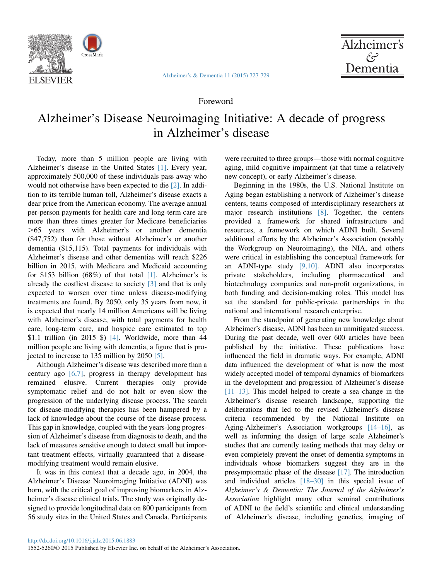

[Alzheimer's & Dementia 11 \(2015\) 727-729](http://dx.doi.org/10.1016/j.jalz.2015.06.1883)



## Foreword

## Alzheimer's Disease Neuroimaging Initiative: A decade of progress in Alzheimer's disease

Today, more than 5 million people are living with Alzheimer's disease in the United States [\[1\]](#page-1-0). Every year, approximately 500,000 of these individuals pass away who would not otherwise have been expected to die [\[2\]](#page-1-0). In addition to its terrible human toll, Alzheimer's disease exacts a dear price from the American economy. The average annual per-person payments for health care and long-term care are more than three times greater for Medicare beneficiaries .65 years with Alzheimer's or another dementia (\$47,752) than for those without Alzheimer's or another dementia (\$15,115). Total payments for individuals with Alzheimer's disease and other dementias will reach \$226 billion in 2015, with Medicare and Medicaid accounting for \$153 billion (68%) of that total [\[1\].](#page-1-0) Alzheimer's is already the costliest disease to society [\[3\]](#page-1-0) and that is only expected to worsen over time unless disease-modifying treatments are found. By 2050, only 35 years from now, it is expected that nearly 14 million Americans will be living with Alzheimer's disease, with total payments for health care, long-term care, and hospice care estimated to top \$1.1 trillion (in 2015 \$) [\[4\]](#page-1-0). Worldwide, more than  $44$ million people are living with dementia, a figure that is projected to increase to 135 million by 2050 [\[5\]](#page-1-0).

Although Alzheimer's disease was described more than a century ago  $[6,7]$ , progress in therapy development has remained elusive. Current therapies only provide symptomatic relief and do not halt or even slow the progression of the underlying disease process. The search for disease-modifying therapies has been hampered by a lack of knowledge about the course of the disease process. This gap in knowledge, coupled with the years-long progression of Alzheimer's disease from diagnosis to death, and the lack of measures sensitive enough to detect small but important treatment effects, virtually guaranteed that a diseasemodifying treatment would remain elusive.

It was in this context that a decade ago, in 2004, the Alzheimer's Disease Neuroimaging Initiative (ADNI) was born, with the critical goal of improving biomarkers in Alzheimer's disease clinical trials. The study was originally designed to provide longitudinal data on 800 participants from 56 study sites in the United States and Canada. Participants were recruited to three groups—those with normal cognitive aging, mild cognitive impairment (at that time a relatively new concept), or early Alzheimer's disease.

Beginning in the 1980s, the U.S. National Institute on Aging began establishing a network of Alzheimer's disease centers, teams composed of interdisciplinary researchers at major research institutions [\[8\].](#page-1-0) Together, the centers provided a framework for shared infrastructure and resources, a framework on which ADNI built. Several additional efforts by the Alzheimer's Association (notably the Workgroup on Neuroimaging), the NIA, and others were critical in establishing the conceptual framework for an ADNI-type study [\[9,10\]](#page-1-0). ADNI also incorporates private stakeholders, including pharmaceutical and biotechnology companies and non-profit organizations, in both funding and decision-making roles. This model has set the standard for public-private partnerships in the national and international research enterprise.

From the standpoint of generating new knowledge about Alzheimer's disease, ADNI has been an unmitigated success. During the past decade, well over 600 articles have been published by the initiative. These publications have influenced the field in dramatic ways. For example, ADNI data influenced the development of what is now the most widely accepted model of temporal dynamics of biomarkers in the development and progression of Alzheimer's disease [11-13]. This model helped to create a sea change in the Alzheimer's disease research landscape, supporting the deliberations that led to the revised Alzheimer's disease criteria recommended by the National Institute on Aging-Alzheimer's Association workgroups [\[14–16\]](#page-1-0), as well as informing the design of large scale Alzheimer's studies that are currently testing methods that may delay or even completely prevent the onset of dementia symptoms in individuals whose biomarkers suggest they are in the presymptomatic phase of the disease [\[17\].](#page-2-0) The introduction and individual articles [\[18–30\]](#page-2-0) in this special issue of Alzheimer's & Dementia: The Journal of the Alzheimer's Association highlight many other seminal contributions of ADNI to the field's scientific and clinical understanding of Alzheimer's disease, including genetics, imaging of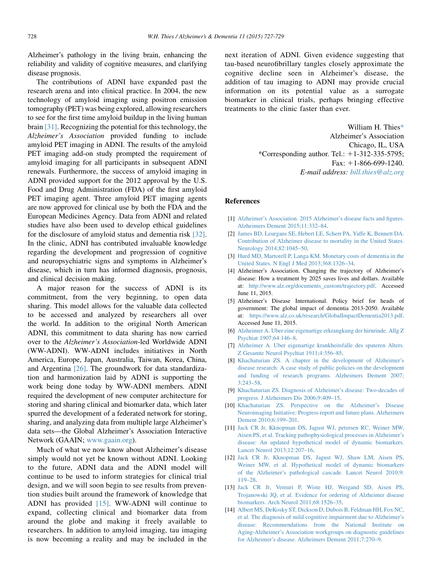<span id="page-1-0"></span>Alzheimer's pathology in the living brain, enhancing the reliability and validity of cognitive measures, and clarifying disease prognosis.

The contributions of ADNI have expanded past the research arena and into clinical practice. In 2004, the new technology of amyloid imaging using positron emission tomography (PET) was being explored, allowing researchers to see for the first time amyloid buildup in the living human brain [\[31\]](#page-2-0). Recognizing the potential for this technology, the Alzheimer's Association provided funding to include amyloid PET imaging in ADNI. The results of the amyloid PET imaging add-on study prompted the requirement of amyloid imaging for all participants in subsequent ADNI renewals. Furthermore, the success of amyloid imaging in ADNI provided support for the 2012 approval by the U.S. Food and Drug Administration (FDA) of the first amyloid PET imaging agent. Three amyloid PET imaging agents are now approved for clinical use by both the FDA and the European Medicines Agency. Data from ADNI and related studies have also been used to develop ethical guidelines for the disclosure of amyloid status and dementia risk [\[32\].](#page-2-0) In the clinic, ADNI has contributed invaluable knowledge regarding the development and progression of cognitive and neuropsychiatric signs and symptoms in Alzheimer's disease, which in turn has informed diagnosis, prognosis, and clinical decision making.

A major reason for the success of ADNI is its commitment, from the very beginning, to open data sharing. This model allows for the valuable data collected to be accessed and analyzed by researchers all over the world. In addition to the original North American ADNI, this commitment to data sharing has now carried over to the Alzheimer's Association-led Worldwide ADNI (WW-ADNI). WW-ADNI includes initiatives in North America, Europe, Japan, Australia, Taiwan, Korea, China, and Argentina [\[26\].](#page-2-0) The groundwork for data standardization and harmonization laid by ADNI is supporting the work being done today by WW-ADNI members. ADNI required the development of new computer architecture for storing and sharing clinical and biomarker data, which later spurred the development of a federated network for storing, sharing, and analyzing data from multiple large Alzheimer's data sets—the Global Alzheimer's Association Interactive Network (GAAIN; [www.gaain.org](http://www.gaain.org)).

Much of what we now know about Alzheimer's disease simply would not yet be known without ADNI. Looking to the future, ADNI data and the ADNI model will continue to be used to inform strategies for clinical trial design, and we will soon begin to see results from prevention studies built around the framework of knowledge that ADNI has provided [\[15\]](#page-2-0). WW-ADNI will continue to expand, collecting clinical and biomarker data from around the globe and making it freely available to researchers. In addition to amyloid imaging, tau imaging is now becoming a reality and may be included in the next iteration of ADNI. Given evidence suggesting that tau-based neurofibrillary tangles closely approximate the cognitive decline seen in Alzheimer's disease, the addition of tau imaging to ADNI may provide crucial information on its potential value as a surrogate biomarker in clinical trials, perhaps bringing effective treatments to the clinic faster than ever.

> William H. Thies\* Alzheimer's Association Chicago, IL, USA \*Corresponding author. Tel.:  $+1-312-335-5795$ ; Fax:  $+1-866-699-1240$ . E-mail address: [bill.thies@alz.org](mailto:bill.thies@alz.org)

## References

- [1] [Alzheimer's Association. 2015 Alzheimer's disease facts and figures.](http://refhub.elsevier.com/S1552-5260(15)02120-2/sref1) [Alzheimers Dement 2015;11:332–84.](http://refhub.elsevier.com/S1552-5260(15)02120-2/sref1)
- [2] [James BD, Leurgans SE, Hebert LE, Scherr PA, Yaffe K, Bennett DA.](http://refhub.elsevier.com/S1552-5260(15)02120-2/sref2) [Contribution of Alzheimer disease to mortality in the United States.](http://refhub.elsevier.com/S1552-5260(15)02120-2/sref2) [Neurology 2014;82:1045–50.](http://refhub.elsevier.com/S1552-5260(15)02120-2/sref2)
- [3] [Hurd MD, Martorell P, Langa KM. Monetary costs of dementia in the](http://refhub.elsevier.com/S1552-5260(15)02120-2/sref3) [United States. N Engl J Med 2013;368:1326–34.](http://refhub.elsevier.com/S1552-5260(15)02120-2/sref3)
- [4] Alzheimer's Association. Changing the trajectory of Alzheimer's disease: How a treatment by 2025 saves lives and dollars. Available at: [http://www.alz.org/documents\\_custom/trajectory.pdf](http://www.alz.org/documents_custom/trajectory.pdf). Accessed June 11, 2015.
- [5] Alzheimer's Disease International. Policy brief for heads of government: The global impact of dementia 2013-2050. Available at: <https://www.alz.co.uk/research/GlobalImpactDementia2013.pdf>. Accessed June 11, 2015.
- [6] [Alzheimer A. Uber eine eigenartige erkrangkung der hirnrinde. Allg Z](http://refhub.elsevier.com/S1552-5260(15)02120-2/sref6) [Psychiat 1907;64:146–8.](http://refhub.elsevier.com/S1552-5260(15)02120-2/sref6)
- [7] [Alzheimer A. Uber eigenartige krankheitsfalle des spateren Alters.](http://refhub.elsevier.com/S1552-5260(15)02120-2/sref7) [Z Gesamte Neurol Psychiat 1911;4:356–85](http://refhub.elsevier.com/S1552-5260(15)02120-2/sref7).
- [8] [Khachaturian ZS. A chapter in the development of Alzheimer's](http://refhub.elsevier.com/S1552-5260(15)02120-2/sref8) [disease research: A case study of public policies on the development](http://refhub.elsevier.com/S1552-5260(15)02120-2/sref8) [and funding of research programs. Alzheimers Dement 2007;](http://refhub.elsevier.com/S1552-5260(15)02120-2/sref8) [3:243–58](http://refhub.elsevier.com/S1552-5260(15)02120-2/sref8).
- [9] [Khachaturian ZS. Diagnosis of Alzheimer's disease: Two-decades of](http://refhub.elsevier.com/S1552-5260(15)02120-2/sref31) [progress. J Alzheimers Dis 2006;9:409–15.](http://refhub.elsevier.com/S1552-5260(15)02120-2/sref31)
- [10] [Khachaturian ZS. Perspective on the Alzheimer's Disease](http://refhub.elsevier.com/S1552-5260(15)02120-2/sref32) [Neuroimaging Initiative: Progress report and future plans. Alzheimers](http://refhub.elsevier.com/S1552-5260(15)02120-2/sref32) [Dement 2010;6:199–201.](http://refhub.elsevier.com/S1552-5260(15)02120-2/sref32)
- [11] [Jack CR Jr, Kknopman DS, Jagust WJ, petersen RC, Weiner MW,](http://refhub.elsevier.com/S1552-5260(15)02120-2/sref9) [Aisen PS, et al. Tracking pathophysiological processes in Alzheimer's](http://refhub.elsevier.com/S1552-5260(15)02120-2/sref9) [disease: An updated hypothetical model of dynamic biomarkers.](http://refhub.elsevier.com/S1552-5260(15)02120-2/sref9) [Lancet Neurol 2013;12:207–16.](http://refhub.elsevier.com/S1552-5260(15)02120-2/sref9)
- [12] [Jack CR Jr, Kknopman DS, Jagust WJ, Shaw LM, Aisen PS,](http://refhub.elsevier.com/S1552-5260(15)02120-2/sref10) [Weiner MW, et al. Hypothetical model of dynamic biomarkers](http://refhub.elsevier.com/S1552-5260(15)02120-2/sref10) [of the Alzheimer's pathological cascade. Lancet Neurol 2010;9:](http://refhub.elsevier.com/S1552-5260(15)02120-2/sref10) [119–28](http://refhub.elsevier.com/S1552-5260(15)02120-2/sref10).
- [13] [Jack CR Jr, Vemuri P, Wiste HJ, Weigand SD, Aisen PS,](http://refhub.elsevier.com/S1552-5260(15)02120-2/sref11) [Trojanowski JQ, et al. Evidence for ordering of Alzheimer disease](http://refhub.elsevier.com/S1552-5260(15)02120-2/sref11) [biomarkers. Arch Neurol 2011;68:1526–35.](http://refhub.elsevier.com/S1552-5260(15)02120-2/sref11)
- [14] [Albert MS, DeKosky ST, Dickson D, Dubois B, Feldman HH, Fox NC,](http://refhub.elsevier.com/S1552-5260(15)02120-2/sref12) [et al. The diagnosis of mild cognitive impairment due to Alzheimer's](http://refhub.elsevier.com/S1552-5260(15)02120-2/sref12) [disease: Recommendations from the National Institute on](http://refhub.elsevier.com/S1552-5260(15)02120-2/sref12) [Aging-Alzheimer's Association workgroups on diagnostic guidelines](http://refhub.elsevier.com/S1552-5260(15)02120-2/sref12) [for Alzheimer's disease. Alzheimers Dement 2011;7:270–9.](http://refhub.elsevier.com/S1552-5260(15)02120-2/sref12)